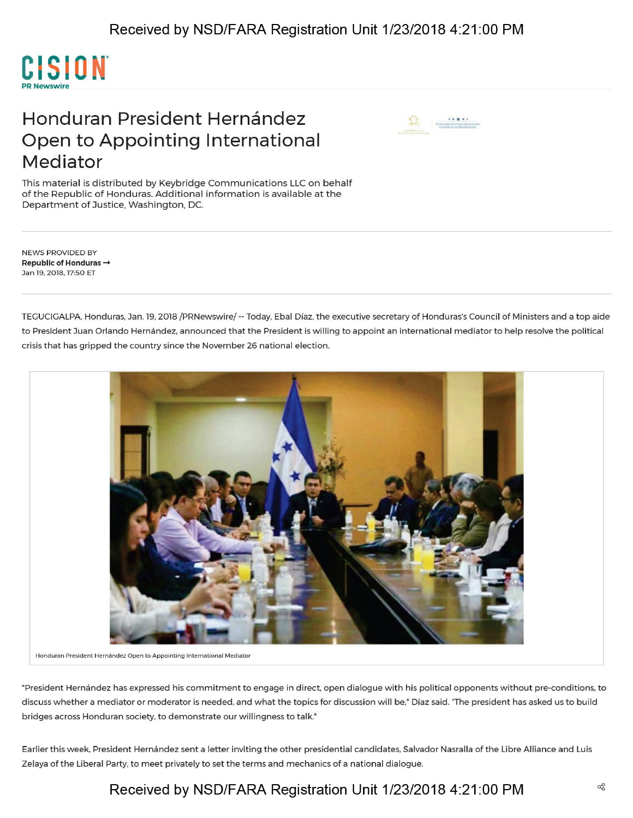

## Honduran President Hernández Open to Appointing International Mediator



This material is distributed by Keybridge Communications LLC on behalf of the Republic of Honduras. Additional information is available at the Department of Justice, Washington, DC.

NEWS PROVIDED BY **Republic of Honduras —»** Jan 19, 2018,17:50 ET

TEGUCIGALPA, Honduras, Jan. 19, 2018 /PRNewswire/ — Today, Ebal Diaz, the executive secretary of Honduras's Council of Ministers and a top aide to President Juan Orlando Hernández, announced that the President is willing to appoint an international mediator to help resolve the political crisis that has gripped the country since the November 26 national election.



**Honduran President Hernandez Open to Appointing International Mediator**

"President Hernandez has expressed his commitment to engage in direct, open dialogue with his political opponents without pre-conditions, to discuss whether a mediator or moderator is needed, and what the topics for discussion will be," Diaz said. "The president has asked us to build bridges across Honduran society, to demonstrate our willingness to talk."

Earlier this week, President Hernández sent a letter inviting the other presidential candidates, Salvador Nasralla of the Libre Alliance and Luis Zelaya of the Liberal Party, to meet privately to set the terms and mechanics of a national dialogue.